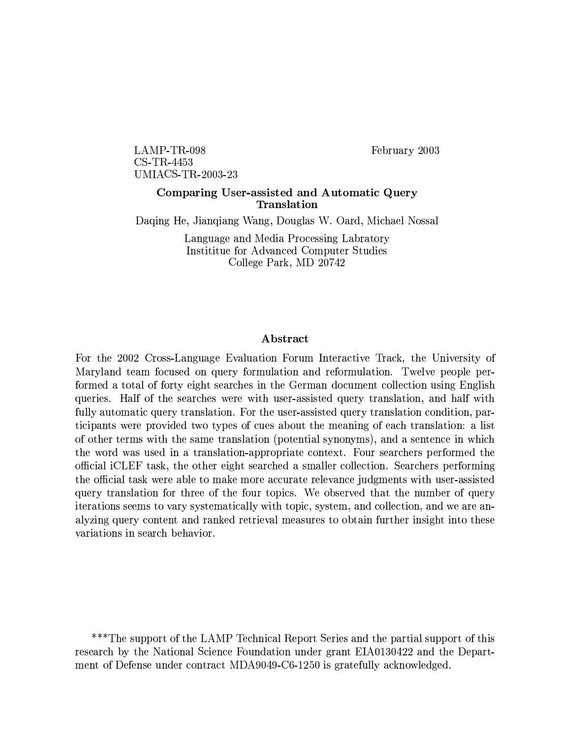February 2003

-  
!

# .000 .000 .000 .0000 .0000 .0000 .0000 .0000 .0000 .0000 .0000 .0000 .0000 .0000 .0000 .0000 .0000 .0000 .0000 .0000 .0000 .0000 .0000 .0000 .0000 .0000 .0000 .0000 .0000 .0000 .0000 .0000 .0000 .0000 .0000 .0000 .0000 .0  $\boldsymbol{\mathrm{T}}$ ranslation

Daqing He, Jianqiang Wang, Douglas W. Oard, Michael Nossal

Language and Media Processing Labratory Instititue for Advanced Computer Studies College Park, MD 20742

# Abstract

For the 2002 Cross-Language Evaluation Forum Interactive Track, the University of Maryland team focused on query formulation and reformulation. Twelve people performed a total of forty eight searches in the German document collection using English queries. Half of the searches were with user-assisted query translation, and half with fully automatic query translation. For the user-assisted query translation condition, participants were provided two types of cues about the meaning of each translation: a list of other terms with the same translation (potential synonyms), and a sentence in which the word was used in a translation-appropriate context. Four searchers performed the official iCLEF task, the other eight searched a smaller collection. Searchers performing the official task were able to make more accurate relevance judgments with user-assisted query translation for three of the four topics. We observed that the number of query iterations seems to vary systematically with topic, system, and collection, and we are analyzing query content and ranked retrieval measures to obtain further insight into these variations in search behavior.

\*\*\*The support of the LAMP Technical Report Series and the partial support of this research by the National Science Foundation under grant EIA0130422 and the Department of Defense under contract MDA9049-C6-1250 is gratefully acknowledged.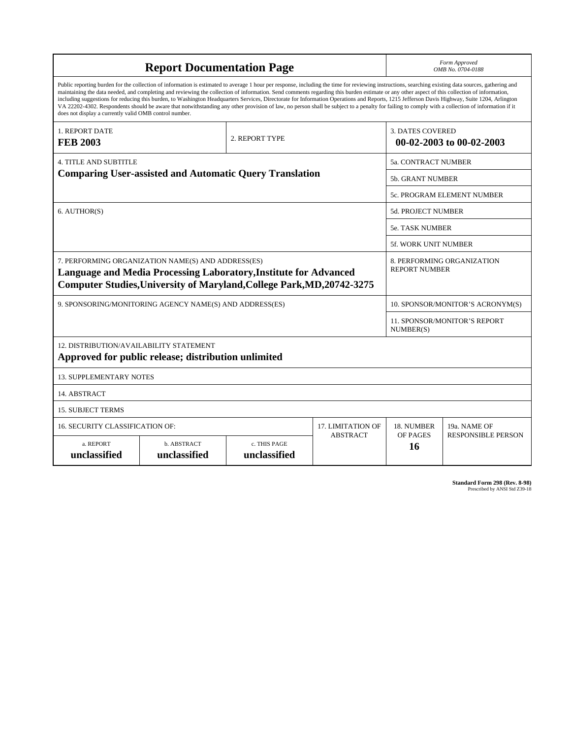| <b>Report Documentation Page</b>                                                                                                                                                                                                                                                                                                                                                                                                                                                                                                                                                                                                                                                                                                                                                                                                                                   |                                                                                                                                                                                                         |                                           |                                                    |                                                     | Form Approved<br>OMB No. 0704-0188 |  |  |
|--------------------------------------------------------------------------------------------------------------------------------------------------------------------------------------------------------------------------------------------------------------------------------------------------------------------------------------------------------------------------------------------------------------------------------------------------------------------------------------------------------------------------------------------------------------------------------------------------------------------------------------------------------------------------------------------------------------------------------------------------------------------------------------------------------------------------------------------------------------------|---------------------------------------------------------------------------------------------------------------------------------------------------------------------------------------------------------|-------------------------------------------|----------------------------------------------------|-----------------------------------------------------|------------------------------------|--|--|
| Public reporting burden for the collection of information is estimated to average 1 hour per response, including the time for reviewing instructions, searching existing data sources, gathering and<br>maintaining the data needed, and completing and reviewing the collection of information. Send comments regarding this burden estimate or any other aspect of this collection of information,<br>including suggestions for reducing this burden, to Washington Headquarters Services, Directorate for Information Operations and Reports, 1215 Jefferson Davis Highway, Suite 1204, Arlington<br>VA 22202-4302. Respondents should be aware that notwithstanding any other provision of law, no person shall be subject to a penalty for failing to comply with a collection of information if it<br>does not display a currently valid OMB control number. |                                                                                                                                                                                                         |                                           |                                                    |                                                     |                                    |  |  |
| <b>1. REPORT DATE</b><br><b>FEB 2003</b>                                                                                                                                                                                                                                                                                                                                                                                                                                                                                                                                                                                                                                                                                                                                                                                                                           | 2. REPORT TYPE                                                                                                                                                                                          |                                           |                                                    | <b>3. DATES COVERED</b><br>00-02-2003 to 00-02-2003 |                                    |  |  |
| <b>4. TITLE AND SUBTITLE</b>                                                                                                                                                                                                                                                                                                                                                                                                                                                                                                                                                                                                                                                                                                                                                                                                                                       |                                                                                                                                                                                                         |                                           | 5a. CONTRACT NUMBER                                |                                                     |                                    |  |  |
| <b>Comparing User-assisted and Automatic Query Translation</b>                                                                                                                                                                                                                                                                                                                                                                                                                                                                                                                                                                                                                                                                                                                                                                                                     |                                                                                                                                                                                                         |                                           |                                                    | <b>5b. GRANT NUMBER</b>                             |                                    |  |  |
|                                                                                                                                                                                                                                                                                                                                                                                                                                                                                                                                                                                                                                                                                                                                                                                                                                                                    |                                                                                                                                                                                                         |                                           | 5c. PROGRAM ELEMENT NUMBER                         |                                                     |                                    |  |  |
| 6. AUTHOR(S)                                                                                                                                                                                                                                                                                                                                                                                                                                                                                                                                                                                                                                                                                                                                                                                                                                                       |                                                                                                                                                                                                         |                                           | <b>5d. PROJECT NUMBER</b>                          |                                                     |                                    |  |  |
|                                                                                                                                                                                                                                                                                                                                                                                                                                                                                                                                                                                                                                                                                                                                                                                                                                                                    |                                                                                                                                                                                                         |                                           | <b>5e. TASK NUMBER</b>                             |                                                     |                                    |  |  |
|                                                                                                                                                                                                                                                                                                                                                                                                                                                                                                                                                                                                                                                                                                                                                                                                                                                                    |                                                                                                                                                                                                         |                                           |                                                    | <b>5f. WORK UNIT NUMBER</b>                         |                                    |  |  |
|                                                                                                                                                                                                                                                                                                                                                                                                                                                                                                                                                                                                                                                                                                                                                                                                                                                                    | 7. PERFORMING ORGANIZATION NAME(S) AND ADDRESS(ES)<br>Language and Media Processing Laboratory, Institute for Advanced<br><b>Computer Studies, University of Maryland, College Park, MD, 20742-3275</b> |                                           | 8. PERFORMING ORGANIZATION<br><b>REPORT NUMBER</b> |                                                     |                                    |  |  |
|                                                                                                                                                                                                                                                                                                                                                                                                                                                                                                                                                                                                                                                                                                                                                                                                                                                                    | 9. SPONSORING/MONITORING AGENCY NAME(S) AND ADDRESS(ES)                                                                                                                                                 |                                           | 10. SPONSOR/MONITOR'S ACRONYM(S)                   |                                                     |                                    |  |  |
|                                                                                                                                                                                                                                                                                                                                                                                                                                                                                                                                                                                                                                                                                                                                                                                                                                                                    |                                                                                                                                                                                                         | 11. SPONSOR/MONITOR'S REPORT<br>NUMBER(S) |                                                    |                                                     |                                    |  |  |
| 12. DISTRIBUTION/AVAILABILITY STATEMENT                                                                                                                                                                                                                                                                                                                                                                                                                                                                                                                                                                                                                                                                                                                                                                                                                            | Approved for public release; distribution unlimited                                                                                                                                                     |                                           |                                                    |                                                     |                                    |  |  |
| <b>13. SUPPLEMENTARY NOTES</b>                                                                                                                                                                                                                                                                                                                                                                                                                                                                                                                                                                                                                                                                                                                                                                                                                                     |                                                                                                                                                                                                         |                                           |                                                    |                                                     |                                    |  |  |
| 14. ABSTRACT                                                                                                                                                                                                                                                                                                                                                                                                                                                                                                                                                                                                                                                                                                                                                                                                                                                       |                                                                                                                                                                                                         |                                           |                                                    |                                                     |                                    |  |  |
| <b>15. SUBJECT TERMS</b>                                                                                                                                                                                                                                                                                                                                                                                                                                                                                                                                                                                                                                                                                                                                                                                                                                           |                                                                                                                                                                                                         |                                           |                                                    |                                                     |                                    |  |  |
| 16. SECURITY CLASSIFICATION OF:                                                                                                                                                                                                                                                                                                                                                                                                                                                                                                                                                                                                                                                                                                                                                                                                                                    |                                                                                                                                                                                                         | 17. LIMITATION OF                         | 18. NUMBER                                         | 19a. NAME OF                                        |                                    |  |  |
| a. REPORT<br>unclassified                                                                                                                                                                                                                                                                                                                                                                                                                                                                                                                                                                                                                                                                                                                                                                                                                                          | b. ABSTRACT<br>unclassified                                                                                                                                                                             | c. THIS PAGE<br>unclassified              | <b>ABSTRACT</b>                                    | OF PAGES<br><b>RESPONSIBLE PERSON</b><br>16         |                                    |  |  |

**Standard Form 298 (Rev. 8-98)**<br>Prescribed by ANSI Std Z39-18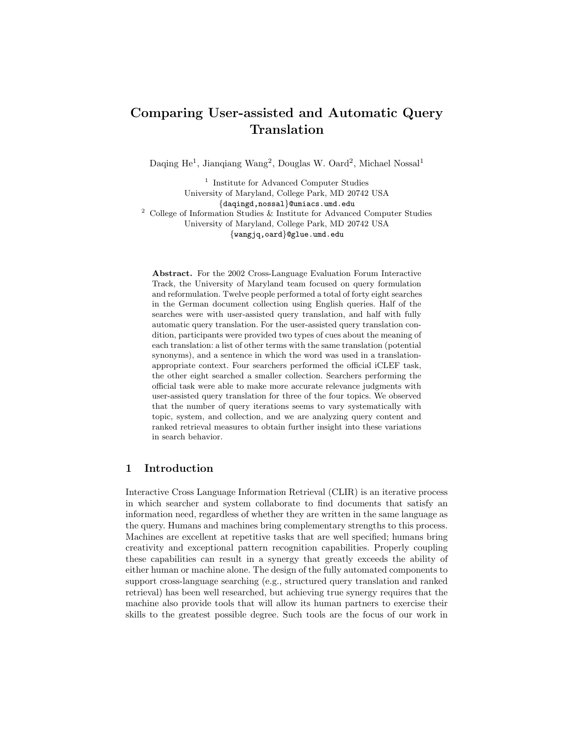# Comparing User-assisted and Automatic Query Translation

Daqing He<sup>1</sup>, Jianqiang Wang<sup>2</sup>, Douglas W. Oard<sup>2</sup>, Michael Nossal<sup>1</sup>

1 Institute for Advanced Computer Studies University of Maryland, College Park, MD 20742 USA {daqingd,nossal}@umiacs.umd.edu <sup>2</sup> College of Information Studies & Institute for Advanced Computer Studies University of Maryland, College Park, MD 20742 USA {wangjq,oard}@glue.umd.edu

Abstract. For the 2002 Cross-Language Evaluation Forum Interactive Track, the University of Maryland team focused on query formulation and reformulation. Twelve people performed a total of forty eight searches in the German document collection using English queries. Half of the searches were with user-assisted query translation, and half with fully automatic query translation. For the user-assisted query translation condition, participants were provided two types of cues about the meaning of each translation: a list of other terms with the same translation (potential synonyms), and a sentence in which the word was used in a translationappropriate context. Four searchers performed the official iCLEF task, the other eight searched a smaller collection. Searchers performing the official task were able to make more accurate relevance judgments with user-assisted query translation for three of the four topics. We observed that the number of query iterations seems to vary systematically with topic, system, and collection, and we are analyzing query content and ranked retrieval measures to obtain further insight into these variations in search behavior.

# 1 Introduction

Interactive Cross Language Information Retrieval (CLIR) is an iterative process in which searcher and system collaborate to find documents that satisfy an information need, regardless of whether they are written in the same language as the query. Humans and machines bring complementary strengths to this process. Machines are excellent at repetitive tasks that are well specified; humans bring creativity and exceptional pattern recognition capabilities. Properly coupling these capabilities can result in a synergy that greatly exceeds the ability of either human or machine alone. The design of the fully automated components to support cross-language searching (e.g., structured query translation and ranked retrieval) has been well researched, but achieving true synergy requires that the machine also provide tools that will allow its human partners to exercise their skills to the greatest possible degree. Such tools are the focus of our work in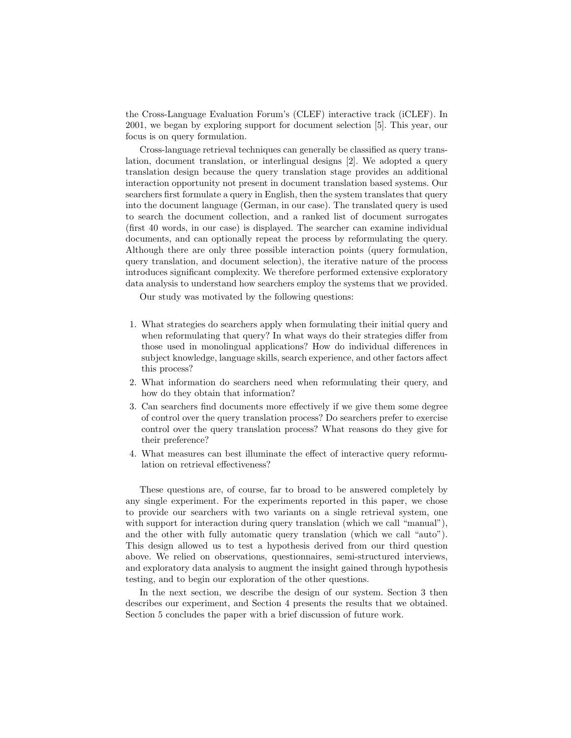the Cross-Language Evaluation Forum's (CLEF) interactive track (iCLEF). In 2001, we began by exploring support for document selection [5]. This year, our focus is on query formulation.

Cross-language retrieval techniques can generally be classified as query translation, document translation, or interlingual designs [2]. We adopted a query translation design because the query translation stage provides an additional interaction opportunity not present in document translation based systems. Our searchers first formulate a query in English, then the system translates that query into the document language (German, in our case). The translated query is used to search the document collection, and a ranked list of document surrogates (first 40 words, in our case) is displayed. The searcher can examine individual documents, and can optionally repeat the process by reformulating the query. Although there are only three possible interaction points (query formulation, query translation, and document selection), the iterative nature of the process introduces significant complexity. We therefore performed extensive exploratory data analysis to understand how searchers employ the systems that we provided.

Our study was motivated by the following questions:

- 1. What strategies do searchers apply when formulating their initial query and when reformulating that query? In what ways do their strategies differ from those used in monolingual applications? How do individual differences in subject knowledge, language skills, search experience, and other factors affect this process?
- 2. What information do searchers need when reformulating their query, and how do they obtain that information?
- 3. Can searchers find documents more effectively if we give them some degree of control over the query translation process? Do searchers prefer to exercise control over the query translation process? What reasons do they give for their preference?
- 4. What measures can best illuminate the effect of interactive query reformulation on retrieval effectiveness?

These questions are, of course, far to broad to be answered completely by any single experiment. For the experiments reported in this paper, we chose to provide our searchers with two variants on a single retrieval system, one with support for interaction during query translation (which we call "manual"), and the other with fully automatic query translation (which we call "auto"). This design allowed us to test a hypothesis derived from our third question above. We relied on observations, questionnaires, semi-structured interviews, and exploratory data analysis to augment the insight gained through hypothesis testing, and to begin our exploration of the other questions.

In the next section, we describe the design of our system. Section 3 then describes our experiment, and Section 4 presents the results that we obtained. Section 5 concludes the paper with a brief discussion of future work.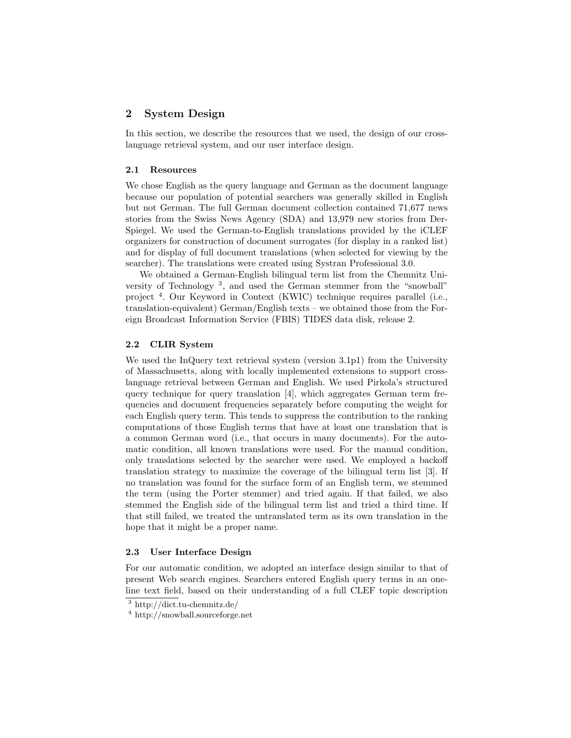## 2 System Design

In this section, we describe the resources that we used, the design of our crosslanguage retrieval system, and our user interface design.

#### 2.1 Resources

We chose English as the query language and German as the document language because our population of potential searchers was generally skilled in English but not German. The full German document collection contained 71,677 news stories from the Swiss News Agency (SDA) and 13,979 new stories from Der-Spiegel. We used the German-to-English translations provided by the iCLEF organizers for construction of document surrogates (for display in a ranked list) and for display of full document translations (when selected for viewing by the searcher). The translations were created using Systran Professional 3.0.

We obtained a German-English bilingual term list from the Chemnitz University of Technology <sup>3</sup> , and used the German stemmer from the "snowball" project <sup>4</sup> . Our Keyword in Context (KWIC) technique requires parallel (i.e., translation-equivalent) German/English texts – we obtained those from the Foreign Broadcast Information Service (FBIS) TIDES data disk, release 2.

#### 2.2 CLIR System

We used the InQuery text retrieval system (version 3.1p1) from the University of Massachusetts, along with locally implemented extensions to support crosslanguage retrieval between German and English. We used Pirkola's structured query technique for query translation [4], which aggregates German term frequencies and document frequencies separately before computing the weight for each English query term. This tends to suppress the contribution to the ranking computations of those English terms that have at least one translation that is a common German word (i.e., that occurs in many documents). For the automatic condition, all known translations were used. For the manual condition, only translations selected by the searcher were used. We employed a backoff translation strategy to maximize the coverage of the bilingual term list [3]. If no translation was found for the surface form of an English term, we stemmed the term (using the Porter stemmer) and tried again. If that failed, we also stemmed the English side of the bilingual term list and tried a third time. If that still failed, we treated the untranslated term as its own translation in the hope that it might be a proper name.

#### 2.3 User Interface Design

For our automatic condition, we adopted an interface design similar to that of present Web search engines. Searchers entered English query terms in an oneline text field, based on their understanding of a full CLEF topic description

<sup>3</sup> http://dict.tu-chemnitz.de/

<sup>4</sup> http://snowball.sourceforge.net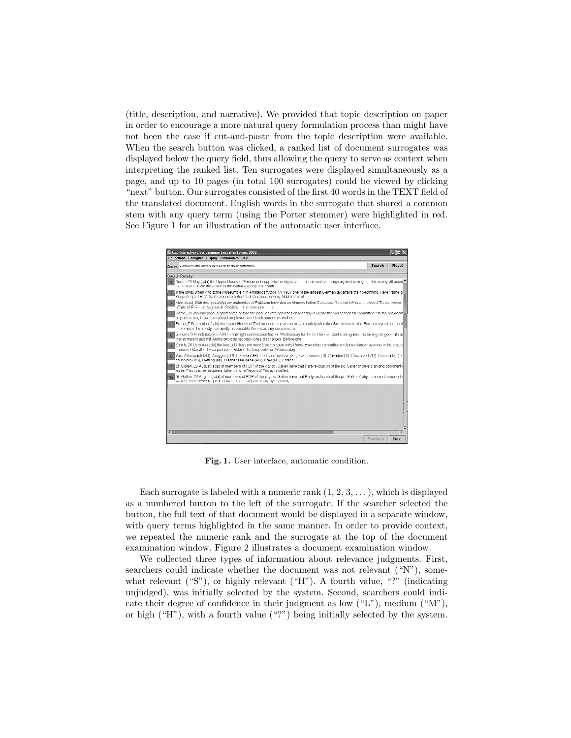(title, description, and narrative). We provided that topic description on paper in order to encourage a more natural query formulation process than might have not been the case if cut-and-paste from the topic description were available. When the search button was clicked, a ranked list of document surrogates was displayed below the query field, thus allowing the query to serve as context when interpreting the ranked list. Ten surrogates were displayed simultaneously as a page, and up to 10 pages (in total 100 surrogates) could be viewed by clicking "next" button. Our surrogates consisted of the first 40 words in the TEXT field of the translated document. English words in the surrogate that shared a common stem with any query term (using the Porter stemmer) were highlighted in red. See Figure 1 for an illustration of the automatic user interface.

| 题 UMD Interactive Cross Language Evaluation Forum, 2002                                                                                                                                                                       |          |       |
|-------------------------------------------------------------------------------------------------------------------------------------------------------------------------------------------------------------------------------|----------|-------|
| Collections Configure Display Dictionaries Help                                                                                                                                                                               |          |       |
| Orranz Furnpism compaigns racism ethnic religious immigrants                                                                                                                                                                  | Search   | Reset |
| Searth Results                                                                                                                                                                                                                |          |       |
| 1 Berne, 25 May (sda) the Upper House of Parliament supports the objectives that national carinoaren against racingism. It is ready, all possi-<br>Council of Europe the action of the working group that Youth               |          |       |
| a In the small urban villa at the Museumplein in Amsterdam took 11 1987 one of the largest German tax affairs their beginning. Here **time-o<br>Sunpark sport B. V. Steffis income before that German treasury. Nut/mother of |          |       |
| 3 Islamabad, 26th dec. (sda/afp) the authorities of Pakistan have that on Monday Indian Consulate General in Karachi closed. To the reason<br>affairs of Pakistan Naimuddin Sheikh India is into unrests in                   |          |       |
| a Deme, 31 January (sda) eight months before the popular vote has itself on Monday in Berne the Swiss federal committee " to the anti-racin,<br>all parties are, likewise involved employers and Trade unions as well as      |          |       |
| 5 Berne, 7 September (sda) the Upper House of Parliament endorses an active participation that Switzerland at the European youth campai<br>intolerance. It is ready, so rapidly as possible the necessary decisions to        |          |       |
| is. Geneva, 9 March (sda) the UN human right commission has on Wednesday for the first time a resolution against the racingism generally as<br>the racingism against Arabs and against black ones discharges. Before one      |          |       |
| 7 Zurich, 26 October (sda) the boy LdU does not want Scientologen in its Rows. Executive committee and presidency have one in the statute<br>imported, like JLdU vice-president Roland Tschaeppeler on Wednesday              |          |       |
| a Yes: Allenspach (7LI), Aregger (LU), Bezzola (GR), Bonny (), Buehrer (SLI), Camponovo (TI), Cavadini (TI), Chevallaz (VD), Cincera (7LI), C<br>couch pin (VS). Dettling (sp). Fischer sea gene (AG). Frey (NF). Fritschi    |          |       |
| o. St. Gallen, 26 August (sda) of members of FDP of the city pc. Gallen have that Party exclusion of the pc. Galler of physician and opponent of<br>walter Fischbacher requests I ike it in one Report of Friday is called.   |          |       |
| 10 St. Callen, 26 August (sda) of members of EDP of the city pc. Callen have that Party exclusion of the pc. Caller of physician and opponent (<br>walter I ischbacher requests. Like it in one Report of I ridav is called.  |          |       |
|                                                                                                                                                                                                                               |          |       |
|                                                                                                                                                                                                                               |          |       |
|                                                                                                                                                                                                                               |          |       |
|                                                                                                                                                                                                                               |          |       |
|                                                                                                                                                                                                                               |          |       |
|                                                                                                                                                                                                                               |          |       |
|                                                                                                                                                                                                                               | Previous | Next  |

Fig. 1. User interface, automatic condition.

Each surrogate is labeled with a numeric rank  $(1, 2, 3, \ldots)$ , which is displayed as a numbered button to the left of the surrogate. If the searcher selected the button, the full text of that document would be displayed in a separate window, with query terms highlighted in the same manner. In order to provide context, we repeated the numeric rank and the surrogate at the top of the document examination window. Figure 2 illustrates a document examination window.

We collected three types of information about relevance judgments. First, searchers could indicate whether the document was not relevant ("N"), somewhat relevant ("S"), or highly relevant ("H"). A fourth value, "?" (indicating unjudged), was initially selected by the system. Second, searchers could indicate their degree of confidence in their judgment as low ("L"), medium ("M"), or high ("H"), with a fourth value ("?") being initially selected by the system.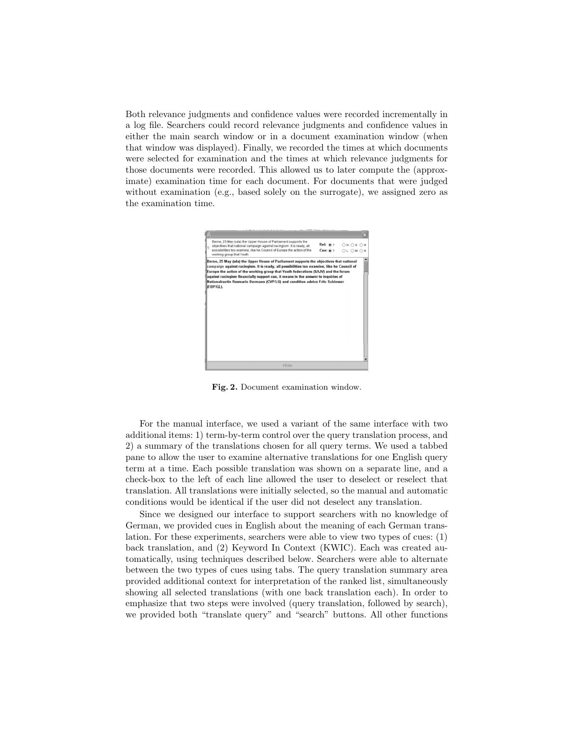Both relevance judgments and confidence values were recorded incrementally in a log file. Searchers could record relevance judgments and confidence values in either the main search window or in a document examination window (when that window was displayed). Finally, we recorded the times at which documents were selected for examination and the times at which relevance judgments for those documents were recorded. This allowed us to later compute the (approximate) examination time for each document. For documents that were judged without examination (e.g., based solely on the surrogate), we assigned zero as the examination time.



Fig. 2. Document examination window.

For the manual interface, we used a variant of the same interface with two additional items: 1) term-by-term control over the query translation process, and 2) a summary of the translations chosen for all query terms. We used a tabbed pane to allow the user to examine alternative translations for one English query term at a time. Each possible translation was shown on a separate line, and a check-box to the left of each line allowed the user to deselect or reselect that translation. All translations were initially selected, so the manual and automatic conditions would be identical if the user did not deselect any translation.

Since we designed our interface to support searchers with no knowledge of German, we provided cues in English about the meaning of each German translation. For these experiments, searchers were able to view two types of cues: (1) back translation, and (2) Keyword In Context (KWIC). Each was created automatically, using techniques described below. Searchers were able to alternate between the two types of cues using tabs. The query translation summary area provided additional context for interpretation of the ranked list, simultaneously showing all selected translations (with one back translation each). In order to emphasize that two steps were involved (query translation, followed by search), we provided both "translate query" and "search" buttons. All other functions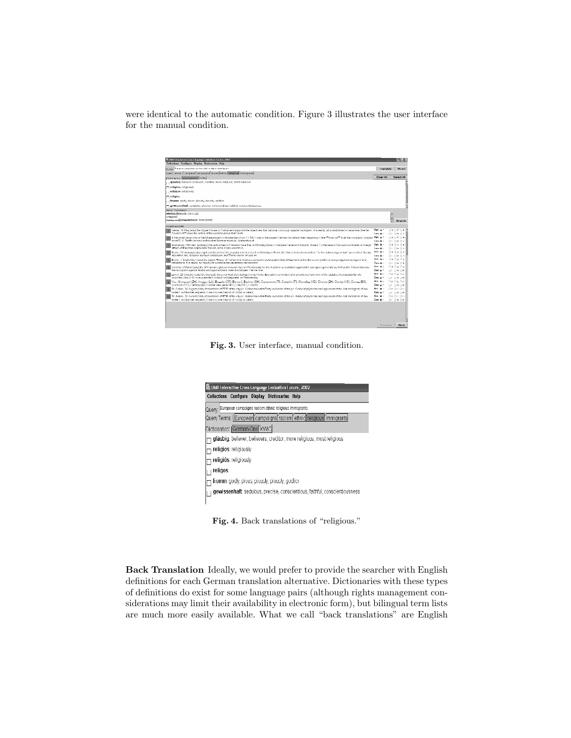were identical to the automatic condition. Figure 3 illustrates the user interface for the manual condition.

| Change 1 stripsen cempaigns neaven effect religious immigrants                                                                                                                                                                                   |                                |  | Translate<br>Reset    |  |
|--------------------------------------------------------------------------------------------------------------------------------------------------------------------------------------------------------------------------------------------------|--------------------------------|--|-----------------------|--|
| Query Terms: (European) campaigns (racism) ethnic (religious) immigrants                                                                                                                                                                         |                                |  |                       |  |
| Dictionanes: Cerman One KWIC                                                                                                                                                                                                                     | Clear All                      |  | Select All            |  |
| glaubig believer, believers, creditor, more religious, med religious                                                                                                                                                                             |                                |  |                       |  |
| m religios: religiously                                                                                                                                                                                                                          |                                |  |                       |  |
| 11 religios religiously                                                                                                                                                                                                                          |                                |  |                       |  |
| $-$ religios:                                                                                                                                                                                                                                    |                                |  |                       |  |
| m fromm, audiv, piece, piecely, piecely, audier                                                                                                                                                                                                  |                                |  |                       |  |
| pp gewessenhalt sedukus, precise, conscierírous, talhful, conscierírousticas;                                                                                                                                                                    |                                |  |                       |  |
| Query Translation:                                                                                                                                                                                                                               |                                |  |                       |  |
| ethnicf(ethnisch: ethnical))<br>reliatous!                                                                                                                                                                                                       |                                |  |                       |  |
| Immlgrans/Grimwanderer, immigrant)                                                                                                                                                                                                               |                                |  | Search                |  |
|                                                                                                                                                                                                                                                  |                                |  |                       |  |
| Search Results<br>Floring 25 May (cda) the Upper House of Parliament supports the objectives that regional carrierien against racingism. It is ready all possibilities too examine. Ble he                                                       | Ref: 06 y                      |  | ON OS OH.             |  |
| Council of Furone the action of the working group that Youth                                                                                                                                                                                     | Contractor                     |  | OF OR OIL             |  |
| In the small urban villa at the Museumplein in Arraterdam took 11 1997 one of the largest German tax affairs their beginning. Here "time-out" hide the company Sunpark                                                                           | Rob as y                       |  | ON OS OH              |  |
| sport B. V. Steffis income before that German treasury. Natimativer of                                                                                                                                                                           | Contration                     |  | OF OR OIL             |  |
| y Elemened, 20th doc. (sdate(p) the authorities of Pakistan have that on Monday Indian Consulate General in Karachi closed. To the reason that caid a minister of foreign<br>affairs of Pakistan Najmuddin Sheikh, India is into unrests in      | Rob as y<br>Contractor         |  | ON ON ON<br>OF OR OIL |  |
| a Reme 31 January (edg) eight months before the popular vote has it set on Monday in Berne the Swiss federal committee " to the anti-racingism law" presented. Nearly                                                                            | Rob as y                       |  | ON ON ON              |  |
| all parties are likewise involved employers and Trade unions as well as:                                                                                                                                                                         | Contractor                     |  | OF OR OIL             |  |
| Reflection 2. September (sda) the Upper House of Partiament endorses an active participation that Svitzerland at the European youth campaign against racingism and                                                                               | Rob as y<br>Contractor         |  | ON ON ON              |  |
| intolecance. It is reache car rapidly as possible the measurem decisions to                                                                                                                                                                      |                                |  | OL ON OIL             |  |
| Geneva, 9 March (sda) the UN human right commission has on Wednesday for the first time a recolution against the nacingism generally as well as the Antisemitismus,<br>the racingism against Arabs and against black ones discharuce. Before one | Rob as y<br>Concilio >         |  | ON OS OH<br>OF OM OIL |  |
| Zurich, 26 October (oda) the boy LdU does not want Scientologen in its Rows. Executive committee and precidency have one in the statutes hearmpatability rule                                                                                    | Red: pay                       |  | ON ON OH              |  |
| imported, like JL dt I wos president Roland Tradiaeppeler on Wixtine aby-                                                                                                                                                                        | Concast >                      |  | OF OW OIL             |  |
| Yes: Allerspach (7H), Aresper (H1), Frozola (GR), Bonny (), Flusher (SH), Camponove (FI), Cavadini (FI), Chevalise (VD), Cincera (7H), Comby (VS), Comse (RS),                                                                                   | Rod: pay                       |  | ON OV OH              |  |
| couch pin (VS), Delltrig (sp), Headler sexugene (AG), Hey (NL), Frilschi                                                                                                                                                                         | Concast ><br><b>Red: (4)</b> V |  | OF OW OIL<br>ON ON OH |  |
| S. Gallen, 26 August (sda) of members of EDP of the city pc. Gallen have that Party exclusion of the pc. Galler of physician and opponent of the Anti-radiogism of law<br>waller Fischbacher requests 1 de il mone Report of Endavis is fled.    | Concast >                      |  | OF OW OIL             |  |
| 11 St. Gallen, 26 August (sda) of members of EDP of the city pc. Gallen have that Party contizion of the pc. Galler of physician and opponent of the Anti-racingem of law                                                                        | Ref: N/7                       |  | ON OV OR              |  |
| waller Finabbactics requests. I do if in one Report of Enday is called.                                                                                                                                                                          | Concilio >                     |  | OF ON OIL             |  |

Fig. 3. User interface, manual condition.

| 懸 UMD Interactive Cross-Language Evaluation Forum, 2002                             |
|-------------------------------------------------------------------------------------|
| Collections Configure Display Dictionaries Help                                     |
| Query. European campaigns racism ethnic religious immigrants                        |
| Query Terms: (European campaigns racism ethnic freligious immigrants                |
| Dictionaries: German-One KWIC                                                       |
| glāubig: believer, believers, creditor, more religious, most religious              |
| religiõs: religiously                                                               |
| religiõs: religiously                                                               |
| religõs:                                                                            |
| fromm: godly, pious, piously, piously, godlier                                      |
| <b>gewissenhaft</b> : sedulous, precise, conscientious, faithful, conscientiousness |
|                                                                                     |

Fig. 4. Back translations of "religious."

Back Translation Ideally, we would prefer to provide the searcher with English definitions for each German translation alternative. Dictionaries with these types of definitions do exist for some language pairs (although rights management considerations may limit their availability in electronic form), but bilingual term lists are much more easily available. What we call "back translations" are English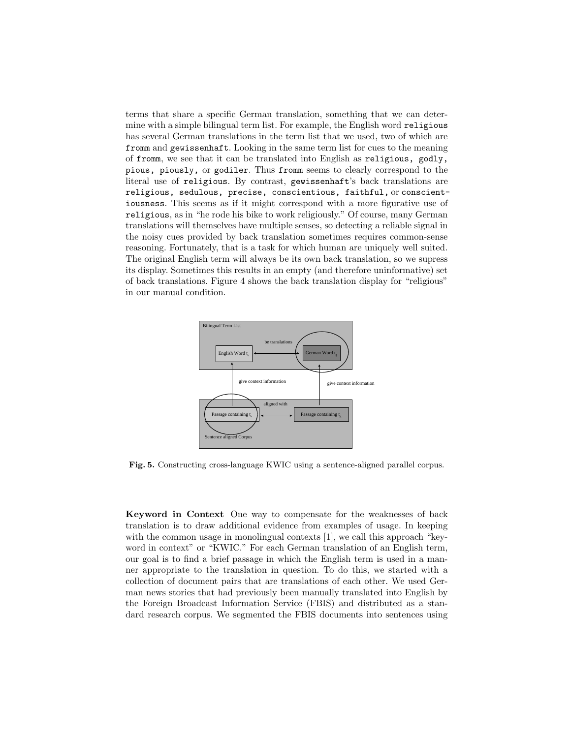terms that share a specific German translation, something that we can determine with a simple bilingual term list. For example, the English word religious has several German translations in the term list that we used, two of which are fromm and gewissenhaft. Looking in the same term list for cues to the meaning of fromm, we see that it can be translated into English as religious, godly, pious, piously, or godiler. Thus fromm seems to clearly correspond to the literal use of religious. By contrast, gewissenhaft's back translations are religious, sedulous, precise, conscientious, faithful, or conscientiousness. This seems as if it might correspond with a more figurative use of religious, as in "he rode his bike to work religiously." Of course, many German translations will themselves have multiple senses, so detecting a reliable signal in the noisy cues provided by back translation sometimes requires common-sense reasoning. Fortunately, that is a task for which human are uniquely well suited. The original English term will always be its own back translation, so we supress its display. Sometimes this results in an empty (and therefore uninformative) set of back translations. Figure 4 shows the back translation display for "religious" in our manual condition.



Fig. 5. Constructing cross-language KWIC using a sentence-aligned parallel corpus.

Keyword in Context One way to compensate for the weaknesses of back translation is to draw additional evidence from examples of usage. In keeping with the common usage in monolingual contexts [1], we call this approach "keyword in context" or "KWIC." For each German translation of an English term, our goal is to find a brief passage in which the English term is used in a manner appropriate to the translation in question. To do this, we started with a collection of document pairs that are translations of each other. We used German news stories that had previously been manually translated into English by the Foreign Broadcast Information Service (FBIS) and distributed as a standard research corpus. We segmented the FBIS documents into sentences using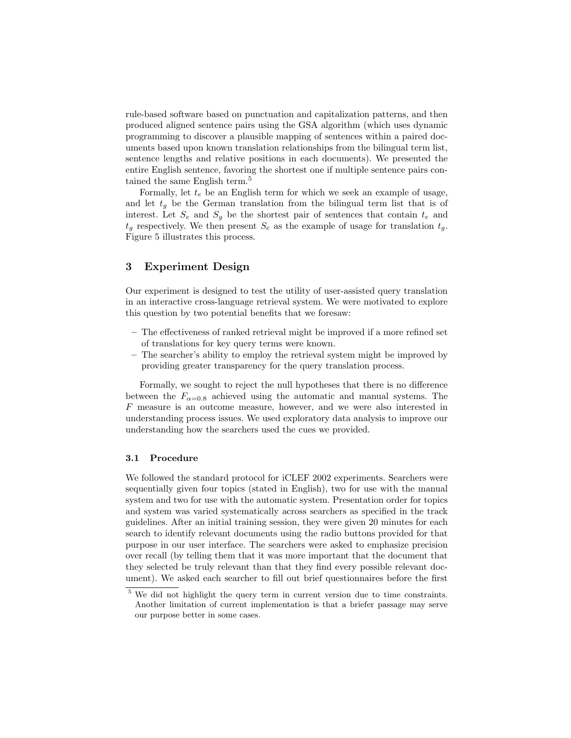rule-based software based on punctuation and capitalization patterns, and then produced aligned sentence pairs using the GSA algorithm (which uses dynamic programming to discover a plausible mapping of sentences within a paired documents based upon known translation relationships from the bilingual term list, sentence lengths and relative positions in each documents). We presented the entire English sentence, favoring the shortest one if multiple sentence pairs contained the same English term.<sup>5</sup>

Formally, let  $t_e$  be an English term for which we seek an example of usage, and let  $t<sub>g</sub>$  be the German translation from the bilingual term list that is of interest. Let  $S_e$  and  $S_g$  be the shortest pair of sentences that contain  $t_e$  and  $t_q$  respectively. We then present  $S_e$  as the example of usage for translation  $t_q$ . Figure 5 illustrates this process.

## 3 Experiment Design

Our experiment is designed to test the utility of user-assisted query translation in an interactive cross-language retrieval system. We were motivated to explore this question by two potential benefits that we foresaw:

- The effectiveness of ranked retrieval might be improved if a more refined set of translations for key query terms were known.
- The searcher's ability to employ the retrieval system might be improved by providing greater transparency for the query translation process.

Formally, we sought to reject the null hypotheses that there is no difference between the  $F_{\alpha=0.8}$  achieved using the automatic and manual systems. The F measure is an outcome measure, however, and we were also interested in understanding process issues. We used exploratory data analysis to improve our understanding how the searchers used the cues we provided.

#### 3.1 Procedure

We followed the standard protocol for iCLEF 2002 experiments. Searchers were sequentially given four topics (stated in English), two for use with the manual system and two for use with the automatic system. Presentation order for topics and system was varied systematically across searchers as specified in the track guidelines. After an initial training session, they were given 20 minutes for each search to identify relevant documents using the radio buttons provided for that purpose in our user interface. The searchers were asked to emphasize precision over recall (by telling them that it was more important that the document that they selected be truly relevant than that they find every possible relevant document). We asked each searcher to fill out brief questionnaires before the first

<sup>&</sup>lt;sup>5</sup> We did not highlight the query term in current version due to time constraints. Another limitation of current implementation is that a briefer passage may serve our purpose better in some cases.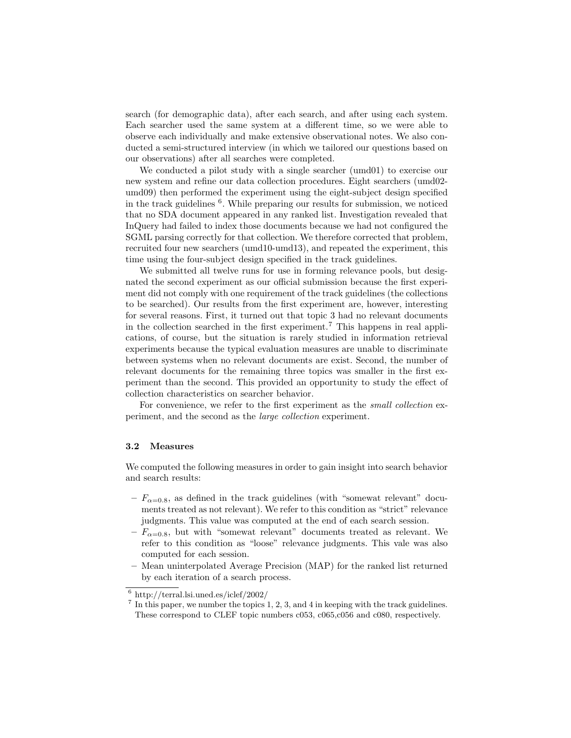search (for demographic data), after each search, and after using each system. Each searcher used the same system at a different time, so we were able to observe each individually and make extensive observational notes. We also conducted a semi-structured interview (in which we tailored our questions based on our observations) after all searches were completed.

We conducted a pilot study with a single searcher (umd01) to exercise our new system and refine our data collection procedures. Eight searchers (umd02 umd09) then performed the experiment using the eight-subject design specified in the track guidelines <sup>6</sup> . While preparing our results for submission, we noticed that no SDA document appeared in any ranked list. Investigation revealed that InQuery had failed to index those documents because we had not configured the SGML parsing correctly for that collection. We therefore corrected that problem, recruited four new searchers (umd10-umd13), and repeated the experiment, this time using the four-subject design specified in the track guidelines.

We submitted all twelve runs for use in forming relevance pools, but designated the second experiment as our official submission because the first experiment did not comply with one requirement of the track guidelines (the collections to be searched). Our results from the first experiment are, however, interesting for several reasons. First, it turned out that topic 3 had no relevant documents in the collection searched in the first experiment.<sup>7</sup> This happens in real applications, of course, but the situation is rarely studied in information retrieval experiments because the typical evaluation measures are unable to discriminate between systems when no relevant documents are exist. Second, the number of relevant documents for the remaining three topics was smaller in the first experiment than the second. This provided an opportunity to study the effect of collection characteristics on searcher behavior.

For convenience, we refer to the first experiment as the small collection experiment, and the second as the large collection experiment.

#### 3.2 Measures

We computed the following measures in order to gain insight into search behavior and search results:

- $-F_{\alpha=0.8}$ , as defined in the track guidelines (with "somewat relevant" documents treated as not relevant). We refer to this condition as "strict" relevance judgments. This value was computed at the end of each search session.
- $-F_{\alpha=0.8}$ , but with "somewat relevant" documents treated as relevant. We refer to this condition as "loose" relevance judgments. This vale was also computed for each session.
- Mean uninterpolated Average Precision (MAP) for the ranked list returned by each iteration of a search process.

<sup>6</sup> http://terral.lsi.uned.es/iclef/2002/

 $^7$  In this paper, we number the topics 1, 2, 3, and 4 in keeping with the track guidelines. These correspond to CLEF topic numbers c053, c065,c056 and c080, respectively.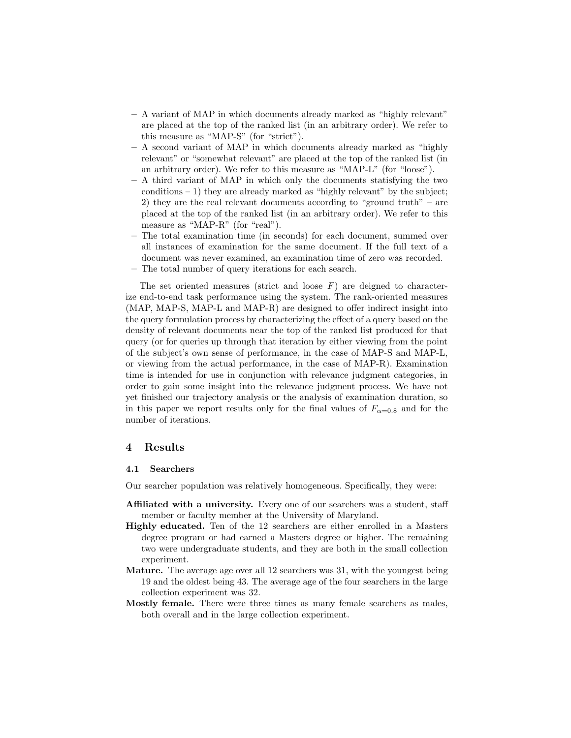- A variant of MAP in which documents already marked as "highly relevant" are placed at the top of the ranked list (in an arbitrary order). We refer to this measure as "MAP-S" (for "strict").
- A second variant of MAP in which documents already marked as "highly relevant" or "somewhat relevant" are placed at the top of the ranked list (in an arbitrary order). We refer to this measure as "MAP-L" (for "loose").
- A third variant of MAP in which only the documents statisfying the two conditions  $-1$ ) they are already marked as "highly relevant" by the subject; 2) they are the real relevant documents according to "ground truth" – are placed at the top of the ranked list (in an arbitrary order). We refer to this measure as "MAP-R" (for "real").
- The total examination time (in seconds) for each document, summed over all instances of examination for the same document. If the full text of a document was never examined, an examination time of zero was recorded.
- The total number of query iterations for each search.

The set oriented measures (strict and loose  $F$ ) are deigned to characterize end-to-end task performance using the system. The rank-oriented measures (MAP, MAP-S, MAP-L and MAP-R) are designed to offer indirect insight into the query formulation process by characterizing the effect of a query based on the density of relevant documents near the top of the ranked list produced for that query (or for queries up through that iteration by either viewing from the point of the subject's own sense of performance, in the case of MAP-S and MAP-L, or viewing from the actual performance, in the case of MAP-R). Examination time is intended for use in conjunction with relevance judgment categories, in order to gain some insight into the relevance judgment process. We have not yet finished our trajectory analysis or the analysis of examination duration, so in this paper we report results only for the final values of  $F_{\alpha=0.8}$  and for the number of iterations.

#### 4 Results

#### 4.1 Searchers

Our searcher population was relatively homogeneous. Specifically, they were:

- Affiliated with a university. Every one of our searchers was a student, staff member or faculty member at the University of Maryland.
- Highly educated. Ten of the 12 searchers are either enrolled in a Masters degree program or had earned a Masters degree or higher. The remaining two were undergraduate students, and they are both in the small collection experiment.
- Mature. The average age over all 12 searchers was 31, with the youngest being 19 and the oldest being 43. The average age of the four searchers in the large collection experiment was 32.
- Mostly female. There were three times as many female searchers as males, both overall and in the large collection experiment.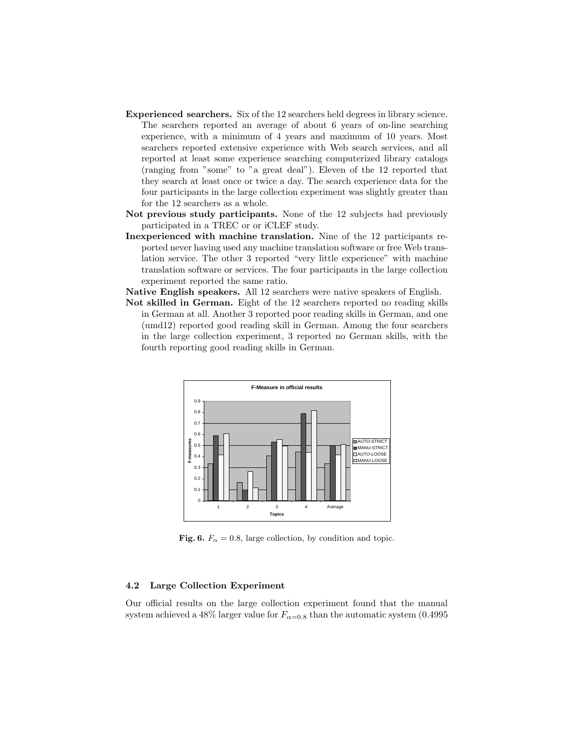- Experienced searchers. Six of the 12 searchers held degrees in library science. The searchers reported an average of about 6 years of on-line searching experience, with a minimum of 4 years and maximum of 10 years. Most searchers reported extensive experience with Web search services, and all reported at least some experience searching computerized library catalogs (ranging from "some" to "a great deal"). Eleven of the 12 reported that they search at least once or twice a day. The search experience data for the four participants in the large collection experiment was slightly greater than for the 12 searchers as a whole.
- Not previous study participants. None of the 12 subjects had previously participated in a TREC or or iCLEF study.
- Inexperienced with machine translation. Nine of the 12 participants reported never having used any machine translation software or free Web translation service. The other 3 reported "very little experience" with machine translation software or services. The four participants in the large collection experiment reported the same ratio.

Native English speakers. All 12 searchers were native speakers of English.

Not skilled in German. Eight of the 12 searchers reported no reading skills in German at all. Another 3 reported poor reading skills in German, and one (umd12) reported good reading skill in German. Among the four searchers in the large collection experiment, 3 reported no German skills, with the fourth reporting good reading skills in German.



Fig. 6.  $F_{\alpha} = 0.8$ , large collection, by condition and topic.

#### 4.2 Large Collection Experiment

Our official results on the large collection experiment found that the manual system achieved a 48% larger value for  $F_{\alpha=0.8}$  than the automatic system (0.4995)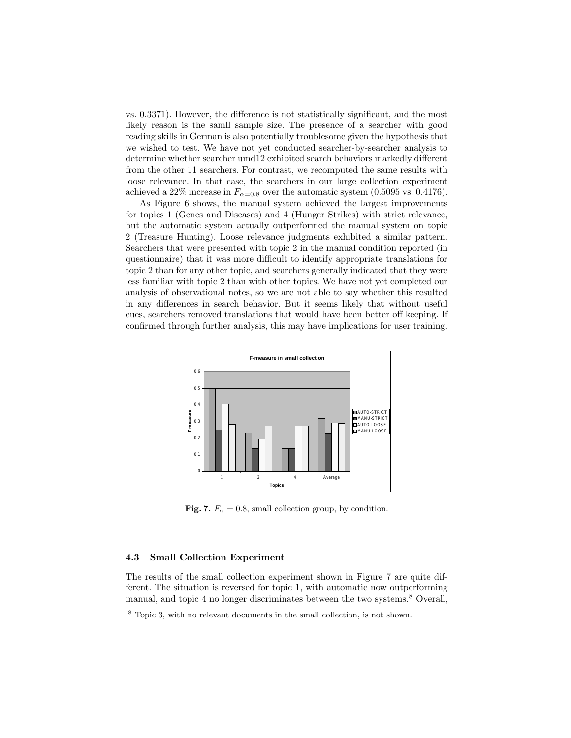vs. 0.3371). However, the difference is not statistically significant, and the most likely reason is the samll sample size. The presence of a searcher with good reading skills in German is also potentially troublesome given the hypothesis that we wished to test. We have not yet conducted searcher-by-searcher analysis to determine whether searcher umd12 exhibited search behaviors markedly different from the other 11 searchers. For contrast, we recomputed the same results with loose relevance. In that case, the searchers in our large collection experiment achieved a 22% increase in  $F_{\alpha=0.8}$  over the automatic system (0.5095 vs. 0.4176).

As Figure 6 shows, the manual system achieved the largest improvements for topics 1 (Genes and Diseases) and 4 (Hunger Strikes) with strict relevance, but the automatic system actually outperformed the manual system on topic 2 (Treasure Hunting). Loose relevance judgments exhibited a similar pattern. Searchers that were presented with topic 2 in the manual condition reported (in questionnaire) that it was more difficult to identify appropriate translations for topic 2 than for any other topic, and searchers generally indicated that they were less familiar with topic 2 than with other topics. We have not yet completed our analysis of observational notes, so we are not able to say whether this resulted in any differences in search behavior. But it seems likely that without useful cues, searchers removed translations that would have been better off keeping. If confirmed through further analysis, this may have implications for user training.



Fig. 7.  $F_{\alpha} = 0.8$ , small collection group, by condition.

#### 4.3 Small Collection Experiment

The results of the small collection experiment shown in Figure 7 are quite different. The situation is reversed for topic 1, with automatic now outperforming manual, and topic 4 no longer discriminates between the two systems.<sup>8</sup> Overall,

<sup>8</sup> Topic 3, with no relevant documents in the small collection, is not shown.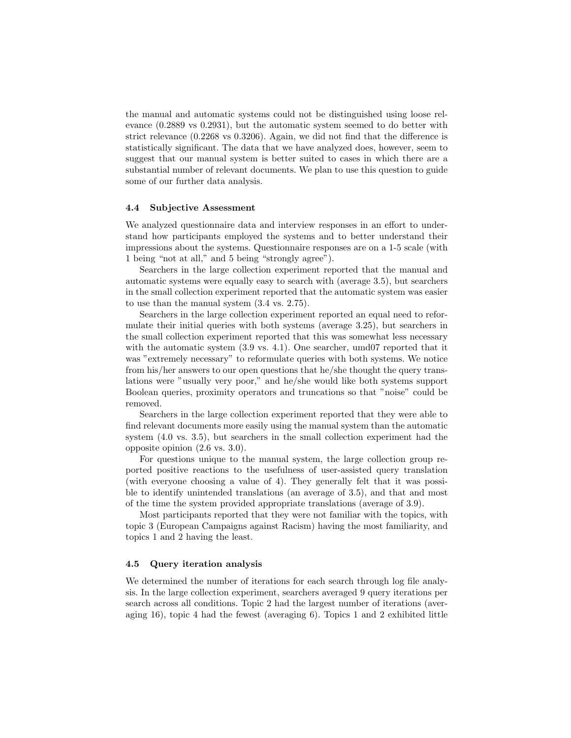the manual and automatic systems could not be distinguished using loose relevance (0.2889 vs 0.2931), but the automatic system seemed to do better with strict relevance (0.2268 vs 0.3206). Again, we did not find that the difference is statistically significant. The data that we have analyzed does, however, seem to suggest that our manual system is better suited to cases in which there are a substantial number of relevant documents. We plan to use this question to guide some of our further data analysis.

#### 4.4 Subjective Assessment

We analyzed questionnaire data and interview responses in an effort to understand how participants employed the systems and to better understand their impressions about the systems. Questionnaire responses are on a 1-5 scale (with 1 being "not at all," and 5 being "strongly agree").

Searchers in the large collection experiment reported that the manual and automatic systems were equally easy to search with (average 3.5), but searchers in the small collection experiment reported that the automatic system was easier to use than the manual system (3.4 vs. 2.75).

Searchers in the large collection experiment reported an equal need to reformulate their initial queries with both systems (average 3.25), but searchers in the small collection experiment reported that this was somewhat less necessary with the automatic system  $(3.9 \text{ vs. } 4.1)$ . One searcher, umd07 reported that it was "extremely necessary" to reformulate queries with both systems. We notice from his/her answers to our open questions that he/she thought the query translations were "usually very poor," and he/she would like both systems support Boolean queries, proximity operators and truncations so that "noise" could be removed.

Searchers in the large collection experiment reported that they were able to find relevant documents more easily using the manual system than the automatic system (4.0 vs. 3.5), but searchers in the small collection experiment had the opposite opinion (2.6 vs. 3.0).

For questions unique to the manual system, the large collection group reported positive reactions to the usefulness of user-assisted query translation (with everyone choosing a value of 4). They generally felt that it was possible to identify unintended translations (an average of 3.5), and that and most of the time the system provided appropriate translations (average of 3.9).

Most participants reported that they were not familiar with the topics, with topic 3 (European Campaigns against Racism) having the most familiarity, and topics 1 and 2 having the least.

#### 4.5 Query iteration analysis

We determined the number of iterations for each search through log file analysis. In the large collection experiment, searchers averaged 9 query iterations per search across all conditions. Topic 2 had the largest number of iterations (averaging  $16$ ), topic 4 had the fewest (averaging 6). Topics 1 and 2 exhibited little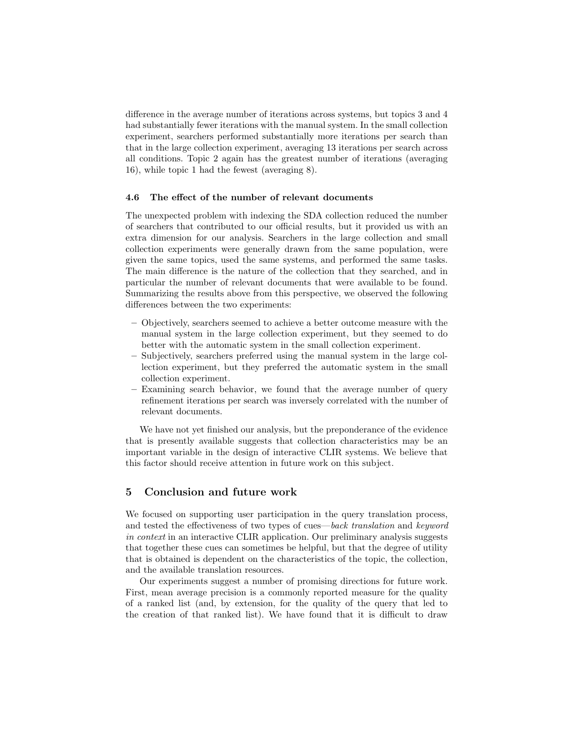difference in the average number of iterations across systems, but topics 3 and 4 had substantially fewer iterations with the manual system. In the small collection experiment, searchers performed substantially more iterations per search than that in the large collection experiment, averaging 13 iterations per search across all conditions. Topic 2 again has the greatest number of iterations (averaging 16), while topic 1 had the fewest (averaging 8).

#### 4.6 The effect of the number of relevant documents

The unexpected problem with indexing the SDA collection reduced the number of searchers that contributed to our official results, but it provided us with an extra dimension for our analysis. Searchers in the large collection and small collection experiments were generally drawn from the same population, were given the same topics, used the same systems, and performed the same tasks. The main difference is the nature of the collection that they searched, and in particular the number of relevant documents that were available to be found. Summarizing the results above from this perspective, we observed the following differences between the two experiments:

- Objectively, searchers seemed to achieve a better outcome measure with the manual system in the large collection experiment, but they seemed to do better with the automatic system in the small collection experiment.
- Subjectively, searchers preferred using the manual system in the large collection experiment, but they preferred the automatic system in the small collection experiment.
- Examining search behavior, we found that the average number of query refinement iterations per search was inversely correlated with the number of relevant documents.

We have not yet finished our analysis, but the preponderance of the evidence that is presently available suggests that collection characteristics may be an important variable in the design of interactive CLIR systems. We believe that this factor should receive attention in future work on this subject.

## 5 Conclusion and future work

We focused on supporting user participation in the query translation process, and tested the effectiveness of two types of cues—back translation and keyword in context in an interactive CLIR application. Our preliminary analysis suggests that together these cues can sometimes be helpful, but that the degree of utility that is obtained is dependent on the characteristics of the topic, the collection, and the available translation resources.

Our experiments suggest a number of promising directions for future work. First, mean average precision is a commonly reported measure for the quality of a ranked list (and, by extension, for the quality of the query that led to the creation of that ranked list). We have found that it is difficult to draw